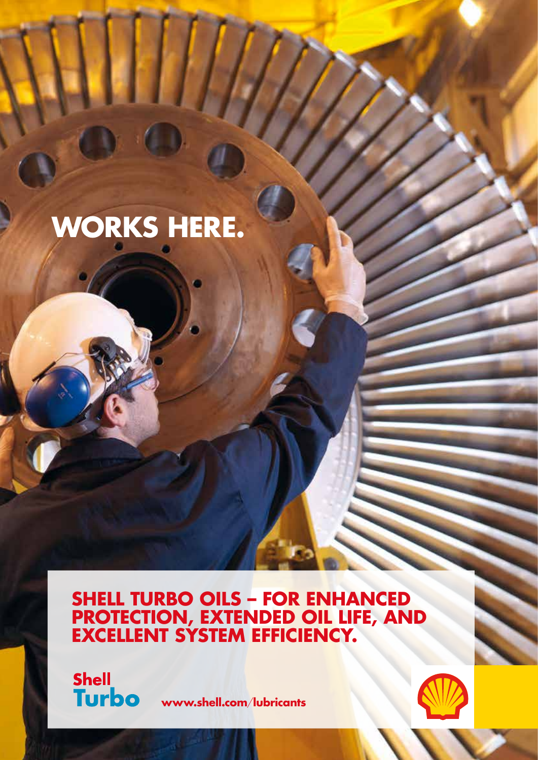# **WORKS HERE.**

**SHELL TURBO OILS – FOR ENHANCED PROTECTION, EXTENDED OIL LIFE, AND EXCELLENT SYSTEM EFFICIENCY.**

**Shell Turbo** 

**www.shell.com**/**lubricants**

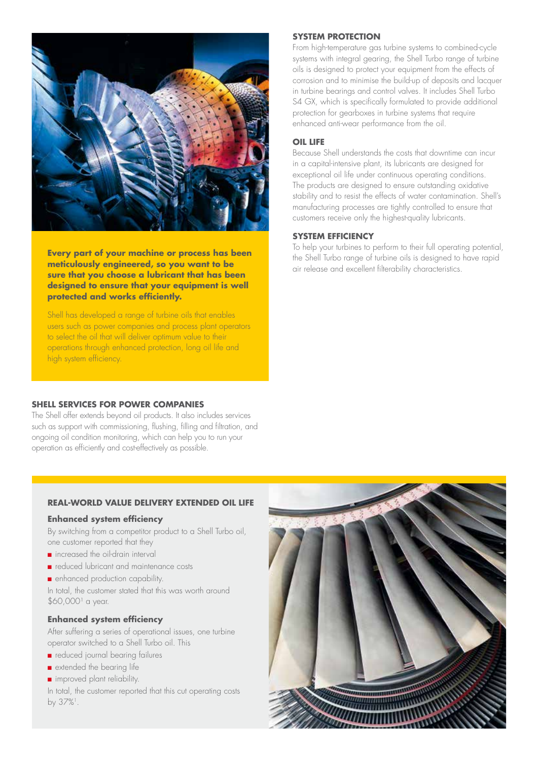

**Every part of your machine or process has been meticulously engineered, so you want to be sure that you choose a lubricant that has been designed to ensure that your equipment is well protected and works efficiently.**

Shell has developed a range of turbine oils that enables users such as power companies and process plant operators to select the oil that will deliver optimum value to their operations through enhanced protection, long oil life and high system efficiency.

# **SHELL SERVICES FOR POWER COMPANIES**

The Shell offer extends beyond oil products. It also includes services such as support with commissioning, flushing, filling and filtration, and ongoing oil condition monitoring, which can help you to run your operation as efficiently and cost-effectively as possible.

# **SYSTEM PROTECTION**

From high-temperature gas turbine systems to combined-cycle systems with integral gearing, the Shell Turbo range of turbine oils is designed to protect your equipment from the effects of corrosion and to minimise the build-up of deposits and lacquer in turbine bearings and control valves. It includes Shell Turbo S4 GX, which is specifically formulated to provide additional protection for gearboxes in turbine systems that require enhanced anti-wear performance from the oil.

#### **OIL LIFE**

Because Shell understands the costs that downtime can incur in a capital-intensive plant, its lubricants are designed for exceptional oil life under continuous operating conditions. The products are designed to ensure outstanding oxidative stability and to resist the effects of water contamination. Shell's manufacturing processes are tightly controlled to ensure that customers receive only the highest-quality lubricants.

#### **SYSTEM EFFICIENCY**

To help your turbines to perform to their full operating potential, the Shell Turbo range of turbine oils is designed to have rapid air release and excellent filterability characteristics.

## **REAL-WORLD VALUE DELIVERY EXTENDED OIL LIFE**

#### **Enhanced system efficiency**

By switching from a competitor product to a Shell Turbo oil, one customer reported that they

- n increased the oil-drain interval
- n reduced lubricant and maintenance costs
- **n** enhanced production capability.

In total, the customer stated that this was worth around  $$60,000$ <sup> $1$ </sup> a year.

## **Enhanced system efficiency**

After suffering a series of operational issues, one turbine operator switched to a Shell Turbo oil. This

- n reduced journal bearing failures
- **n** extended the bearing life
- n improved plant reliability.

In total, the customer reported that this cut operating costs by 37%<sup>1</sup>.

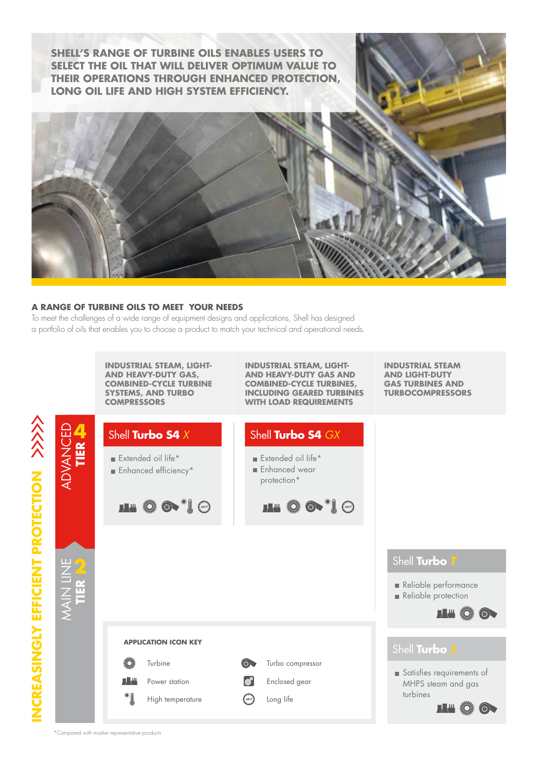**SHELL'S RANGE OF TURBINE OILS ENABLES USERS TO SELECT THE OIL THAT WILL DELIVER OPTIMUM VALUE TO THEIR OPERATIONS THROUGH ENHANCED PROTECTION, LONG OIL LIFE AND HIGH SYSTEM EFFICIENCY.**



# **A RANGE OF TURBINE OILS TO MEET YOUR NEEDS**

To meet the challenges of a wide range of equipment designs and applications, Shell has designed a portfolio of oils that enables you to choose a product to match your technical and operational needs.

> **INDUSTRIAL STEAM, LIGHT-AND HEAVY-DUTY GAS, COMBINED-CYCLE TURBINE SYSTEMS, AND TURBO**

**INDUSTRIAL STEAM, LIGHT-AND HEAVY-DUTY GAS AND COMBINED-CYCLE TURBINES, INCLUDING GEARED TURBINES WITH LOAD REQUIREMENTS**

**INDUSTRIAL STEAM AND LIGHT-DUTY GAS TURBINES AND TURBOCOMPRESSORS**



|                                     | <b>STSIEMS, AND IUKBU</b><br><b>COMPRESSORS</b>                                                        | <u>INCLUDING GEAKED TUKBINES</u><br><b>WITH LOAD REQUIREMENTS</b>                                 | <u>IUKBULUMPKE33UK3</u>                                                                      |
|-------------------------------------|--------------------------------------------------------------------------------------------------------|---------------------------------------------------------------------------------------------------|----------------------------------------------------------------------------------------------|
| ADVANCED<br>Tier <del>i</del> n     | Shell Turbo S4 X<br>Extended oil life*<br>Enhanced efficiency*<br>HS STIG                              | Shell Turbo S4 GX<br>Extended oil life*<br>Enhanced wear<br>protection*<br>HS STIG                |                                                                                              |
| <b>MAIN LINE</b><br><b>PAIN AND</b> |                                                                                                        |                                                                                                   | Shell Turbo T<br>Reliable performance<br>Reliable protection<br>IL # 0                       |
|                                     | <b>APPLICATION ICON KEY</b><br>▓<br>Turbine<br><b>TALL</b><br>Power station<br>* [<br>High temperature | $\circledcirc$<br>Turbo compressor<br>$ \phi^a $<br>Enclosed gear<br>$\binom{24}{7}$<br>Long life | Shell Turbo J<br>Satisfies requirements of<br>MHPS steam and gas<br>turbines<br><b>III Ö</b> |
|                                     | *Compared with market representative products                                                          |                                                                                                   |                                                                                              |